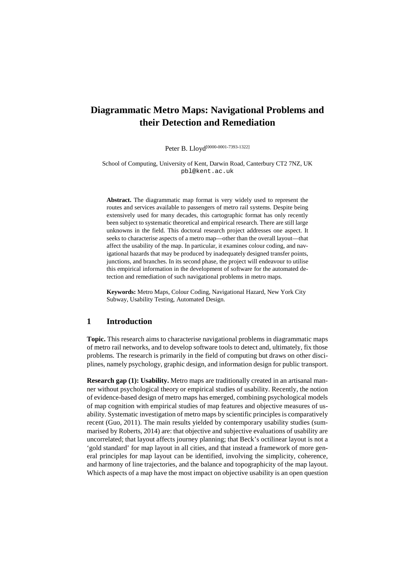# **Diagrammatic Metro Maps: Navigational Problems and their Detection and Remediation**

Peter B. Lloyd<sup>[0000-0001-7393-1322]</sup>

School of Computing, University of Kent, Darwin Road, Canterbury CT2 7NZ, UK pbl@kent.ac.uk

**Abstract.** The diagrammatic map format is very widely used to represent the routes and services available to passengers of metro rail systems. Despite being extensively used for many decades, this cartographic format has only recently been subject to systematic theoretical and empirical research. There are still large unknowns in the field. This doctoral research project addresses one aspect. It seeks to characterise aspects of a metro map—other than the overall layout—that affect the usability of the map. In particular, it examines colour coding, and navigational hazards that may be produced by inadequately designed transfer points, junctions, and branches. In its second phase, the project will endeavour to utilise this empirical information in the development of software for the automated detection and remediation of such navigational problems in metro maps.

**Keywords:** Metro Maps, Colour Coding, Navigational Hazard, New York City Subway, Usability Testing, Automated Design.

#### **1 Introduction**

**Topic.** This research aims to characterise navigational problems in diagrammatic maps of metro rail networks, and to develop software tools to detect and, ultimately, fix those problems. The research is primarily in the field of computing but draws on other disciplines, namely psychology, graphic design, and information design for public transport.

**Research gap (1): Usability.** Metro maps are traditionally created in an artisanal manner without psychological theory or empirical studies of usability. Recently, the notion of evidence-based design of metro maps has emerged, combining psychological models of map cognition with empirical studies of map features and objective measures of usability. Systematic investigation of metro maps by scientific principles is comparatively recent (Guo, 2011). The main results yielded by contemporary usability studies (summarised by Roberts, 2014) are: that objective and subjective evaluations of usability are uncorrelated; that layout affects journey planning; that Beck's octilinear layout is not a 'gold standard' for map layout in all cities, and that instead a framework of more general principles for map layout can be identified, involving the simplicity, coherence, and harmony of line trajectories, and the balance and topographicity of the map layout. Which aspects of a map have the most impact on objective usability is an open question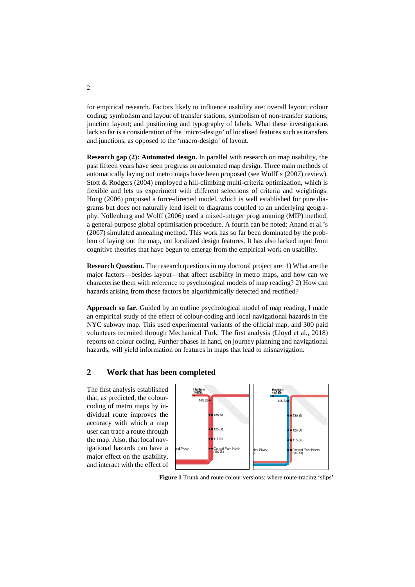for empirical research. Factors likely to influence usability are: overall layout; colour coding; symbolism and layout of transfer stations; symbolism of non-transfer stations; junction layout; and positioning and typography of labels. What these investigations lack so far is a consideration of the 'micro-design' of localised features such as transfers and junctions, as opposed to the 'macro-design' of layout.

**Research gap (2): Automated design.** In parallel with research on map usability, the past fifteen years have seen progress on automated map design. Three main methods of automatically laying out metro maps have been proposed (see Wolff's (2007) review). Stott & Rodgers (2004) employed a hill-climbing multi-criteria optimization, which is flexible and lets us experiment with different selections of criteria and weightings. Hong (2006) proposed a force-directed model, which is well established for pure diagrams but does not naturally lend itself to diagrams coupled to an underlying geography. Nöllenburg and Wolff (2006) used a mixed-integer programming (MIP) method, a general-purpose global optimisation procedure. A fourth can be noted: Anand et al.'s (2007) simulated annealing method. This work has so far been dominated by the problem of laying out the map, not localized design features. It has also lacked input from cognitive theories that have begun to emerge from the empirical work on usability.

**Research Question.** The research questions in my doctoral project are: 1) What are the major factors—besides layout—that affect usability in metro maps, and how can we characterise them with reference to psychological models of map reading? 2) How can hazards arising from those factors be algorithmically detected and rectified?

**Approach so far.** Guided by an outline psychological model of map reading, I made an empirical study of the effect of colour-coding and local navigational hazards in the NYC subway map. This used experimental variants of the official map, and 300 paid volunteers recruited through Mechanical Turk. The first analysis (Lloyd et al., 2018) reports on colour coding. Further phases in hand, on journey planning and navigational hazards, will yield information on features in maps that lead to misnavigation.

### **2 Work that has been completed**

The first analysis established that, as predicted, the colourcoding of metro maps by individual route improves the accuracy with which a map user can trace a route through the map. Also, that local navigational hazards can have a major effect on the usability, and interact with the effect of



**Figure 1** Trunk and route colour versions: where route-tracing 'slips'